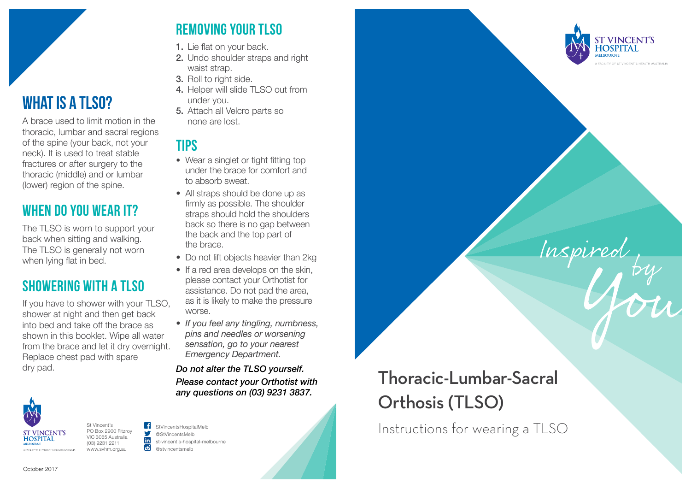

## **What is a TLSO?**

A brace used to limit motion in the thoracic, lumbar and sacral regions of the spine (your back, not your neck). It is used to treat stable fractures or after surgery to the thoracic (middle) and or lumbar (lower) region of the spine.

### **When do you wear it?**

The TLSO is worn to support your back when sitting and walking. The TLSO is generally not worn when lying flat in bed.

### **Showering with a TLSO**

If you have to shower with your TLSO, shower at night and then get back into bed and take off the brace as shown in this booklet. Wipe all water from the brace and let it dry overnight. Replace chest pad with spare dry pad.



St Vincent's PO Box 2900 Fitzroy VIC 3065 Australia (03) 9231 2211 www.svhm.org.au

#### StVincentsHospitalMelb @StVincentsMelb Ю @stvincentsmelb

st-vincent's-hospital-melbourne

## **Removing your TLSO**

- 1. Lie flat on your back.
- 2. Undo shoulder straps and right waist strap.
- 3. Roll to right side.
- 4. Helper will slide TLSO out from under you.
- 5. Attach all Velcro parts so none are lost.

## **Tips**

- Wear a singlet or tight fitting top under the brace for comfort and to absorb sweat.
- All straps should be done up as firmly as possible. The shoulder straps should hold the shoulders back so there is no gap between the back and the top part of the brace.
- Do not lift objects heavier than 2kg
- If a red area develops on the skin, please contact your Orthotist for assistance. Do not pad the area, as it is likely to make the pressure worse.
- *If you feel any tingling, numbness, pins and needles or worsening sensation, go to your nearest Emergency Department.*

*Do not alter the TLSO yourself. Please contact your Orthotist with any questions on (03) 9231 3837.*

# Thoracic-Lumbar-Sacral Orthosis (TLSO)

**T VINCENT'S HOSPITAI** 

FACILITY OF ST VINCENT'S HEALTH ALISTRAL

Inspired

Instructions for wearing a TLSO